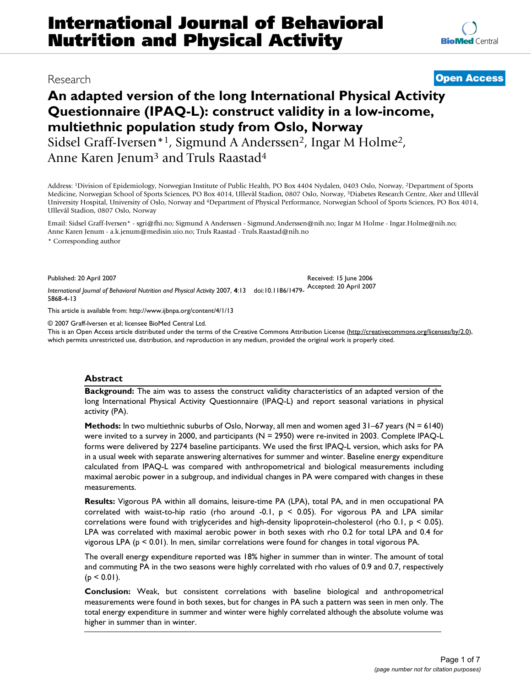# Research **[Open Access](http://www.biomedcentral.com/info/about/charter/)**

# **An adapted version of the long International Physical Activity Questionnaire (IPAQ-L): construct validity in a low-income, multiethnic population study from Oslo, Norway**

Sidsel Graff-Iversen<sup>\*1</sup>, Sigmund A Anderssen<sup>2</sup>, Ingar M Holme<sup>2</sup>, Anne Karen Jenum3 and Truls Raastad4

Address: 1Division of Epidemiology, Norwegian Institute of Public Health, PO Box 4404 Nydalen, 0403 Oslo, Norway, 2Department of Sports Medicine, Norwegian School of Sports Sciences, PO Box 4014, Ullevål Stadion, 0807 Oslo, Norway, 3Diabetes Research Centre, Aker and Ullevål University Hospital, University of Oslo, Norway and 4Department of Physical Performance, Norwegian School of Sports Sciences, PO Box 4014, Ullevål Stadion, 0807 Oslo, Norway

Email: Sidsel Graff-Iversen\* - sgri@fhi.no; Sigmund A Anderssen - Sigmund.Anderssen@nih.no; Ingar M Holme - Ingar.Holme@nih.no; Anne Karen Jenum - a.k.jenum@medisin.uio.no; Truls Raastad - Truls.Raastad@nih.no \* Corresponding author

Published: 20 April 2007

*International Journal of Behavioral Nutrition and Physical Activity* 2007, **4**:13 doi:10.1186/1479- Accepted: 20 April 2007 5868-4-13

[This article is available from: http://www.ijbnpa.org/content/4/1/13](http://www.ijbnpa.org/content/4/1/13)

© 2007 Graff-Iversen et al; licensee BioMed Central Ltd.

This is an Open Access article distributed under the terms of the Creative Commons Attribution License [\(http://creativecommons.org/licenses/by/2.0\)](http://creativecommons.org/licenses/by/2.0), which permits unrestricted use, distribution, and reproduction in any medium, provided the original work is properly cited.

Received: 15 June 2006

#### **Abstract**

**Background:** The aim was to assess the construct validity characteristics of an adapted version of the long International Physical Activity Questionnaire (IPAQ-L) and report seasonal variations in physical activity (PA).

**Methods:** In two multiethnic suburbs of Oslo, Norway, all men and women aged 31–67 years (N = 6140) were invited to a survey in 2000, and participants (N = 2950) were re-invited in 2003. Complete IPAQ-L forms were delivered by 2274 baseline participants. We used the first IPAQ-L version, which asks for PA in a usual week with separate answering alternatives for summer and winter. Baseline energy expenditure calculated from IPAQ-L was compared with anthropometrical and biological measurements including maximal aerobic power in a subgroup, and individual changes in PA were compared with changes in these measurements.

**Results:** Vigorous PA within all domains, leisure-time PA (LPA), total PA, and in men occupational PA correlated with waist-to-hip ratio (rho around -0.1,  $p \le 0.05$ ). For vigorous PA and LPA similar correlations were found with triglycerides and high-density lipoprotein-cholesterol (rho 0.1,  $p < 0.05$ ). LPA was correlated with maximal aerobic power in both sexes with rho 0.2 for total LPA and 0.4 for vigorous LPA (p < 0.01). In men, similar correlations were found for changes in total vigorous PA.

The overall energy expenditure reported was 18% higher in summer than in winter. The amount of total and commuting PA in the two seasons were highly correlated with rho values of 0.9 and 0.7, respectively  $(p < 0.01)$ .

**Conclusion:** Weak, but consistent correlations with baseline biological and anthropometrical measurements were found in both sexes, but for changes in PA such a pattern was seen in men only. The total energy expenditure in summer and winter were highly correlated although the absolute volume was higher in summer than in winter.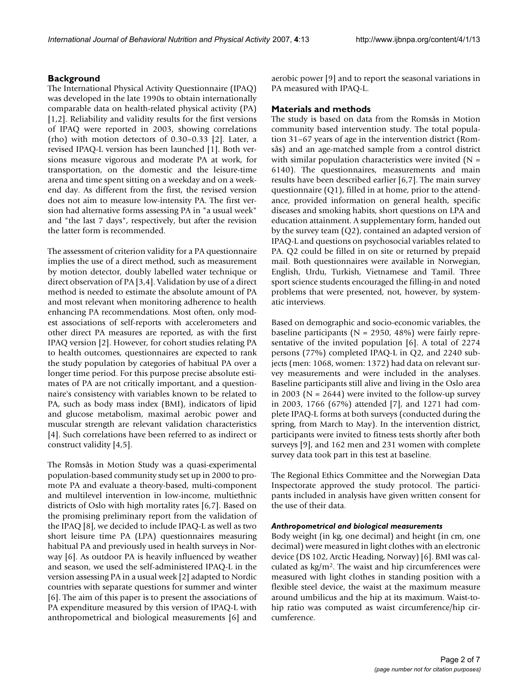## **Background**

The International Physical Activity Questionnaire (IPAQ) was developed in the late 1990s to obtain internationally comparable data on health-related physical activity (PA) [1,2]. Reliability and validity results for the first versions of IPAQ were reported in 2003, showing correlations (rho) with motion detectors of 0.30–0.33 [2]. Later, a revised IPAQ-L version has been launched [1]. Both versions measure vigorous and moderate PA at work, for transportation, on the domestic and the leisure-time arena and time spent sitting on a weekday and on a weekend day. As different from the first, the revised version does not aim to measure low-intensity PA. The first version had alternative forms assessing PA in "a usual week" and "the last 7 days", respectively, but after the revision the latter form is recommended.

The assessment of criterion validity for a PA questionnaire implies the use of a direct method, such as measurement by motion detector, doubly labelled water technique or direct observation of PA [3,4]. Validation by use of a direct method is needed to estimate the absolute amount of PA and most relevant when monitoring adherence to health enhancing PA recommendations. Most often, only modest associations of self-reports with accelerometers and other direct PA measures are reported, as with the first IPAQ version [2]. However, for cohort studies relating PA to health outcomes, questionnaires are expected to rank the study population by categories of habitual PA over a longer time period. For this purpose precise absolute estimates of PA are not critically important, and a questionnaire's consistency with variables known to be related to PA, such as body mass index (BMI), indicators of lipid and glucose metabolism, maximal aerobic power and muscular strength are relevant validation characteristics [4]. Such correlations have been referred to as indirect or construct validity [4,5].

The Romsås in Motion Study was a quasi-experimental population-based community study set up in 2000 to promote PA and evaluate a theory-based, multi-component and multilevel intervention in low-income, multiethnic districts of Oslo with high mortality rates [6,7]. Based on the promising preliminary report from the validation of the IPAQ [8], we decided to include IPAQ-L as well as two short leisure time PA (LPA) questionnaires measuring habitual PA and previously used in health surveys in Norway [6]. As outdoor PA is heavily influenced by weather and season, we used the self-administered IPAQ-L in the version assessing PA in a usual week [2] adapted to Nordic countries with separate questions for summer and winter [6]. The aim of this paper is to present the associations of PA expenditure measured by this version of IPAQ-L with anthropometrical and biological measurements [6] and aerobic power [9] and to report the seasonal variations in PA measured with IPAQ-L.

## **Materials and methods**

The study is based on data from the Romsås in Motion community based intervention study. The total population 31–67 years of age in the intervention district (Romsås) and an age-matched sample from a control district with similar population characteristics were invited  $(N =$ 6140). The questionnaires, measurements and main results have been described earlier [6,7]. The main survey questionnaire (Q1), filled in at home, prior to the attendance, provided information on general health, specific diseases and smoking habits, short questions on LPA and education attainment. A supplementary form, handed out by the survey team (Q2), contained an adapted version of IPAQ-L and questions on psychosocial variables related to PA. Q2 could be filled in on site or returned by prepaid mail. Both questionnaires were available in Norwegian, English, Urdu, Turkish, Vietnamese and Tamil. Three sport science students encouraged the filling-in and noted problems that were presented, not, however, by systematic interviews.

Based on demographic and socio-economic variables, the baseline participants ( $N = 2950$ , 48%) were fairly representative of the invited population [6]. A total of 2274 persons (77%) completed IPAQ-L in Q2, and 2240 subjects (men: 1068, women: 1372) had data on relevant survey measurements and were included in the analyses. Baseline participants still alive and living in the Oslo area in 2003 ( $N = 2644$ ) were invited to the follow-up survey in 2003, 1766 (67%) attended [7], and 1271 had complete IPAQ-L forms at both surveys (conducted during the spring, from March to May). In the intervention district, participants were invited to fitness tests shortly after both surveys [9], and 162 men and 231 women with complete survey data took part in this test at baseline.

The Regional Ethics Committee and the Norwegian Data Inspectorate approved the study protocol. The participants included in analysis have given written consent for the use of their data.

#### *Anthropometrical and biological measurements*

Body weight (in kg, one decimal) and height (in cm, one decimal) were measured in light clothes with an electronic device (DS 102, Arctic Heading, Norway) [6]. BMI was calculated as kg/m2. The waist and hip circumferences were measured with light clothes in standing position with a flexible steel device, the waist at the maximum measure around umbilicus and the hip at its maximum. Waist-tohip ratio was computed as waist circumference/hip circumference.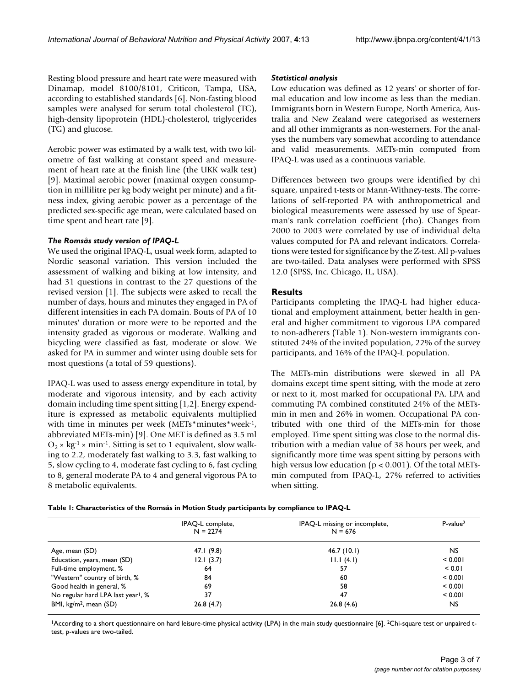Resting blood pressure and heart rate were measured with Dinamap, model 8100/8101, Criticon, Tampa, USA, according to established standards [6]. Non-fasting blood samples were analysed for serum total cholesterol (TC), high-density lipoprotein (HDL)-cholesterol, triglycerides (TG) and glucose.

Aerobic power was estimated by a walk test, with two kilometre of fast walking at constant speed and measurement of heart rate at the finish line (the UKK walk test) [9]. Maximal aerobic power (maximal oxygen consumption in millilitre per kg body weight per minute) and a fitness index, giving aerobic power as a percentage of the predicted sex-specific age mean, were calculated based on time spent and heart rate [9].

# *The Romsås study version of IPAQ-L*

We used the original IPAQ-L, usual week form, adapted to Nordic seasonal variation. This version included the assessment of walking and biking at low intensity, and had 31 questions in contrast to the 27 questions of the revised version [1]. The subjects were asked to recall the number of days, hours and minutes they engaged in PA of different intensities in each PA domain. Bouts of PA of 10 minutes' duration or more were to be reported and the intensity graded as vigorous or moderate. Walking and bicycling were classified as fast, moderate or slow. We asked for PA in summer and winter using double sets for most questions (a total of 59 questions).

IPAQ-L was used to assess energy expenditure in total, by moderate and vigorous intensity, and by each activity domain including time spent sitting [1,2]. Energy expenditure is expressed as metabolic equivalents multiplied with time in minutes per week (METs\*minutes\*week-1, abbreviated METs-min) [9]. One MET is defined as 3.5 ml  $O_2 \times$  kg<sup>-1</sup> × min<sup>-1</sup>. Sitting is set to 1 equivalent, slow walking to 2.2, moderately fast walking to 3.3, fast walking to 5, slow cycling to 4, moderate fast cycling to 6, fast cycling to 8, general moderate PA to 4 and general vigorous PA to 8 metabolic equivalents.

## *Statistical analysis*

Low education was defined as 12 years' or shorter of formal education and low income as less than the median. Immigrants born in Western Europe, North America, Australia and New Zealand were categorised as westerners and all other immigrants as non-westerners. For the analyses the numbers vary somewhat according to attendance and valid measurements. METs-min computed from IPAQ-L was used as a continuous variable.

Differences between two groups were identified by chi square, unpaired t-tests or Mann-Withney-tests. The correlations of self-reported PA with anthropometrical and biological measurements were assessed by use of Spearman's rank correlation coefficient (rho). Changes from 2000 to 2003 were correlated by use of individual delta values computed for PA and relevant indicators. Correlations were tested for significance by the Z-test. All p-values are two-tailed. Data analyses were performed with SPSS 12.0 (SPSS, Inc. Chicago, IL, USA).

# **Results**

Participants completing the IPAQ-L had higher educational and employment attainment, better health in general and higher commitment to vigorous LPA compared to non-adherers (Table 1). Non-western immigrants constituted 24% of the invited population, 22% of the survey participants, and 16% of the IPAQ-L population.

The METs-min distributions were skewed in all PA domains except time spent sitting, with the mode at zero or next to it, most marked for occupational PA. LPA and commuting PA combined constituted 24% of the METsmin in men and 26% in women. Occupational PA contributed with one third of the METs-min for those employed. Time spent sitting was close to the normal distribution with a median value of 38 hours per week, and significantly more time was spent sitting by persons with high versus low education ( $p < 0.001$ ). Of the total METsmin computed from IPAQ-L, 27% referred to activities when sitting.

| Table 1: Characteristics of the Romsås in Motion Study participants by compliance to IPAQ-L |  |  |  |
|---------------------------------------------------------------------------------------------|--|--|--|
|                                                                                             |  |  |  |

| IPAQ-L complete,<br>$N = 2274$ | IPAQ-L missing or incomplete,<br>$N = 676$ | $P-value2$ |
|--------------------------------|--------------------------------------------|------------|
| 47.1(9.8)                      | 46.7(10.1)                                 | NS.        |
| 12.1(3.7)                      | 11.1(4.1)                                  | < 0.001    |
| 64                             | 57                                         | < 0.01     |
| 84                             | 60                                         | < 0.001    |
| 69                             | 58                                         | < 0.001    |
| 37                             | 47                                         | < 0.001    |
| 26.8(4.7)                      | 26.8(4.6)                                  | NS.        |
|                                |                                            |            |

<sup>1</sup>According to a short questionnaire on hard leisure-time physical activity (LPA) in the main study questionnaire [6]. <sup>2</sup>Chi-square test or unpaired ttest, p-values are two-tailed.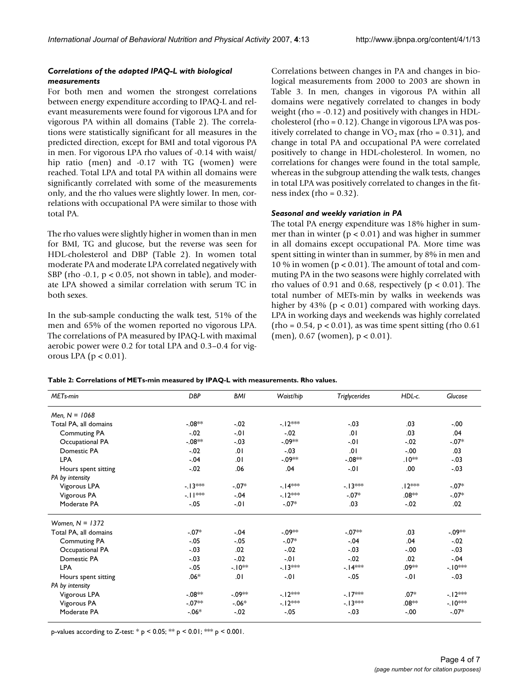# *Correlations of the adapted IPAQ-L with biological measurements*

For both men and women the strongest correlations between energy expenditure according to IPAQ-L and relevant measurements were found for vigorous LPA and for vigorous PA within all domains (Table 2). The correlations were statistically significant for all measures in the predicted direction, except for BMI and total vigorous PA in men. For vigorous LPA rho values of -0.14 with waist/ hip ratio (men) and -0.17 with TG (women) were reached. Total LPA and total PA within all domains were significantly correlated with some of the measurements only, and the rho values were slightly lower. In men, correlations with occupational PA were similar to those with total PA.

The rho values were slightly higher in women than in men for BMI, TG and glucose, but the reverse was seen for HDL-cholesterol and DBP (Table 2). In women total moderate PA and moderate LPA correlated negatively with SBP (rho  $-0.1$ ,  $p < 0.05$ , not shown in table), and moderate LPA showed a similar correlation with serum TC in both sexes.

In the sub-sample conducting the walk test, 51% of the men and 65% of the women reported no vigorous LPA. The correlations of PA measured by IPAQ-L with maximal aerobic power were 0.2 for total LPA and 0.3–0.4 for vigorous LPA ( $p < 0.01$ ).

Correlations between changes in PA and changes in biological measurements from 2000 to 2003 are shown in Table 3. In men, changes in vigorous PA within all domains were negatively correlated to changes in body weight (rho = -0.12) and positively with changes in HDLcholesterol (rho = 0.12). Change in vigorous LPA was positively correlated to change in  $VO<sub>2</sub>$  max (rho = 0.31), and change in total PA and occupational PA were correlated positively to change in HDL-cholesterol. In women, no correlations for changes were found in the total sample, whereas in the subgroup attending the walk tests, changes in total LPA was positively correlated to changes in the fitness index (rho =  $0.32$ ).

# *Seasonal and weekly variation in PA*

The total PA energy expenditure was 18% higher in summer than in winter ( $p < 0.01$ ) and was higher in summer in all domains except occupational PA. More time was spent sitting in winter than in summer, by 8% in men and 10 % in women ( $p < 0.01$ ). The amount of total and commuting PA in the two seasons were highly correlated with rho values of 0.91 and 0.68, respectively ( $p < 0.01$ ). The total number of METs-min by walks in weekends was higher by 43% ( $p < 0.01$ ) compared with working days. LPA in working days and weekends was highly correlated  $(rho = 0.54, p < 0.01)$ , as was time spent sitting  $(rho 0.61)$  $(men)$ , 0.67 (women),  $p < 0.01$ ).

| Table 2: Correlations of METs-min measured by IPAQ-L with measurements. Rho values. |  |
|-------------------------------------------------------------------------------------|--|
|-------------------------------------------------------------------------------------|--|

| MET <sub>s-min</sub>  | <b>DBP</b> | <b>BMI</b> | Waist/hip | <b>Triglycerides</b> | HDL-c.   | Glucose    |
|-----------------------|------------|------------|-----------|----------------------|----------|------------|
| Men. $N = 1068$       |            |            |           |                      |          |            |
| Total PA, all domains | $-08**$    | $-.02$     | $-12***$  | $-.03$               | .03      | $-.00$     |
| <b>Commuting PA</b>   | $-.02$     | $-01$      | $-.02$    | .01                  | .03      | .04        |
| Occupational PA       | $-08**$    | $-.03$     | $-09**$   | $-.01$               | $-.02$   | $-.07*$    |
| Domestic PA           | $-.02$     | .01        | $-.03$    | .01                  | $-.00$   | .03        |
| <b>LPA</b>            | $-.04$     | .01        | -.09**    | $-08**$              | .10**    | $-.03$     |
| Hours spent sitting   | $-0.02$    | .06        | .04       | $-01$                | .00.     | $-.03$     |
| PA by intensity       |            |            |           |                      |          |            |
| Vigorous LPA          | $-13***$   | $-.07*$    | $-14***$  | $-13***$             | $.12***$ | $-07*$     |
| Vigorous PA           | -.∣ **     | $-.04$     | $-12***$  | $-.07*$              | $.08**$  | $-07*$     |
| Moderate PA           | $-.05$     | $-01$      | $-.07*$   | .03                  | $-.02$   | .02        |
| Women, $N = 1372$     |            |            |           |                      |          |            |
| Total PA, all domains | $-07*$     | $-.04$     | $-09**$   | $-07**$              | .03      | -.09**     |
| <b>Commuting PA</b>   | $-0.05$    | $-0.05$    | $-.07*$   | $-.04$               | .04      | $-.02$     |
| Occupational PA       | $-.03$     | .02        | $-.02$    | $-.03$               | $-.00$   | $-.03$     |
| Domestic PA           | $-.03$     | $-.02$     | $-0.01$   | $-.02$               | .02      | $-.04$     |
| <b>LPA</b>            | $-.05$     | $-10**$    | $-13***$  | $-14***$             | .09**    | $-10^{**}$ |
| Hours spent sitting   | $.06*$     | .01        | $-01$     | $-.05$               | $-01$    | $-.03$     |
| PA by intensity       |            |            |           |                      |          |            |
| Vigorous LPA          | $-08**$    | -.09**     | $-12***$  | $-17***$             | $.07*$   | $-12***$   |
| Vigorous PA           | $-07**$    | $-06*$     | $-12***$  | $-13***$             | .08**    | $-10^{**}$ |
| Moderate PA           | $-06*$     | $-.02$     | $-.05$    | $-.03$               | $-.00$   | $-07*$     |

p-values according to Z-test: \*  $p < 0.05$ ; \*\*  $p < 0.01$ ; \*\*  $p < 0.001$ .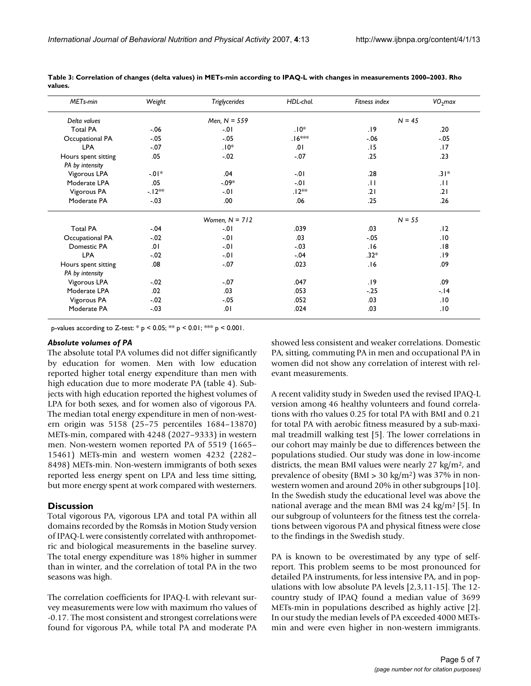| MET <sub>s-min</sub>                   | Weight  | <b>Triglycerides</b> | HDL-chol.          | Fitness index   | $VO2$ max |
|----------------------------------------|---------|----------------------|--------------------|-----------------|-----------|
| Delta values                           |         | Men, $N = 559$       |                    | $N = 45$        |           |
| <b>Total PA</b>                        | $-.06$  | $-01$                | $.10*$             | .19             | .20       |
| Occupational PA                        | $-.05$  | $-.05$               | .∣6 <sup>≭≉≽</sup> | $-.06$          | $-.05$    |
| <b>LPA</b>                             | $-.07$  | $.10*$               | .01                | .15             | .17       |
| Hours spent sitting<br>PA by intensity | .05     | $-.02$               | $-.07$             | .25             | .23       |
| Vigorous LPA                           | $-01*$  | .04                  | $-01$              | .28             | $.31*$    |
| Moderate LPA                           | .05     | $-0.09*$             | $-.01$             | $\overline{11}$ | .11       |
| Vigorous PA                            | $-12**$ | $-01$                | $.12**$            | .21             | ا 2.      |
| Moderate PA                            | $-.03$  | .00                  | .06                | .25             | .26       |
|                                        |         | Women, $N = 712$     |                    | $N = 55$        |           |
| <b>Total PA</b>                        | $-.04$  | $-.01$               | .039               | .03             | .12       |
| Occupational PA                        | $-.02$  | $-01$                | .03                | $-0.05$         | .10       |
| Domestic PA                            | .01     | $-.01$               | $-0.3$             | .16             | .18       |
| <b>LPA</b>                             | $-.02$  | $-0.01$              | $-.04$             | $.32*$          | .19       |
| Hours spent sitting                    | .08     | $-.07$               | .023               | 16.             | .09       |
| PA by intensity                        |         |                      |                    |                 |           |
| Vigorous LPA                           | $-.02$  | $-.07$               | .047               | .19             | .09       |
| Moderate LPA                           | .02     | .03                  | .053               | $-.25$          | $-14$     |
| Vigorous PA                            | $-.02$  | $-.05$               | .052               | .03             | .10       |
| Moderate PA                            | $-.03$  | .01                  | .024               | .03             | .10       |

**Table 3: Correlation of changes (delta values) in METs-min according to IPAQ-L with changes in measurements 2000–2003. Rho values.**

p-values according to Z-test:  $* p < 0.05$ ;  $** p < 0.01$ ;  $* p < 0.001$ .

#### *Absolute volumes of PA*

The absolute total PA volumes did not differ significantly by education for women. Men with low education reported higher total energy expenditure than men with high education due to more moderate PA (table 4). Subjects with high education reported the highest volumes of LPA for both sexes, and for women also of vigorous PA. The median total energy expenditure in men of non-western origin was 5158 (25–75 percentiles 1684–13870) METs-min, compared with 4248 (2027–9333) in western men. Non-western women reported PA of 5519 (1665– 15461) METs-min and western women 4232 (2282– 8498) METs-min. Non-western immigrants of both sexes reported less energy spent on LPA and less time sitting, but more energy spent at work compared with westerners.

#### **Discussion**

Total vigorous PA, vigorous LPA and total PA within all domains recorded by the Romsås in Motion Study version of IPAQ-L were consistently correlated with anthropometric and biological measurements in the baseline survey. The total energy expenditure was 18% higher in summer than in winter, and the correlation of total PA in the two seasons was high.

The correlation coefficients for IPAQ-L with relevant survey measurements were low with maximum rho values of -0.17. The most consistent and strongest correlations were found for vigorous PA, while total PA and moderate PA showed less consistent and weaker correlations. Domestic PA, sitting, commuting PA in men and occupational PA in women did not show any correlation of interest with relevant measurements.

A recent validity study in Sweden used the revised IPAQ-L version among 46 healthy volunteers and found correlations with rho values 0.25 for total PA with BMI and 0.21 for total PA with aerobic fitness measured by a sub-maximal treadmill walking test [5]. The lower correlations in our cohort may mainly be due to differences between the populations studied. Our study was done in low-income districts, the mean BMI values were nearly 27 kg/m<sup>2</sup>, and prevalence of obesity (BMI  $>$  30 kg/m<sup>2</sup>) was 37% in nonwestern women and around 20% in other subgroups [10]. In the Swedish study the educational level was above the national average and the mean BMI was 24 kg/m<sup>2</sup> [5]. In our subgroup of volunteers for the fitness test the correlations between vigorous PA and physical fitness were close to the findings in the Swedish study.

PA is known to be overestimated by any type of selfreport. This problem seems to be most pronounced for detailed PA instruments, for less intensive PA, and in populations with low absolute PA levels [2,3,11-15]. The 12 country study of IPAQ found a median value of 3699 METs-min in populations described as highly active [2]. In our study the median levels of PA exceeded 4000 METsmin and were even higher in non-western immigrants.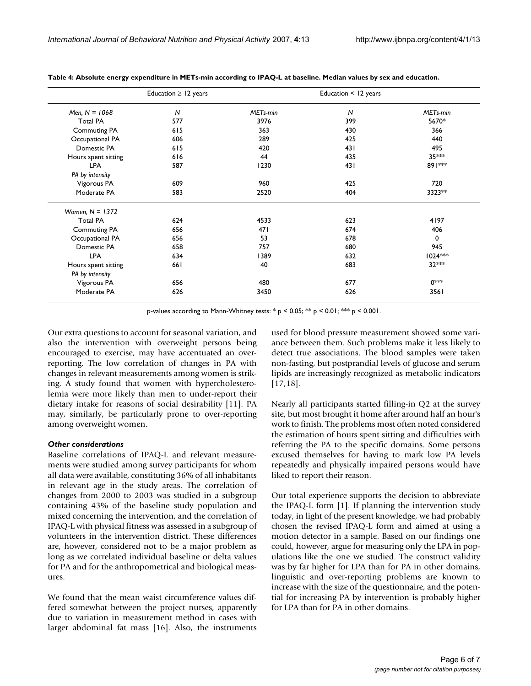|                     | Education $\geq$ 12 years |                      | Education < 12 years |                      |
|---------------------|---------------------------|----------------------|----------------------|----------------------|
| Men, $N = 1068$     | $\mathsf{N}$              | MET <sub>s-min</sub> | N                    | MET <sub>s-min</sub> |
| <b>Total PA</b>     | 577                       | 3976                 | 399                  | 5670*                |
| <b>Commuting PA</b> | 615                       | 363                  | 430                  | 366                  |
| Occupational PA     | 606                       | 289                  | 425                  | 440                  |
| Domestic PA         | 615                       | 420                  | 431                  | 495                  |
| Hours spent sitting | 616                       | 44                   | 435                  | 35 ***               |
| <b>LPA</b>          | 587                       | 1230                 | 431                  | 891 **               |
| PA by intensity     |                           |                      |                      |                      |
| Vigorous PA         | 609                       | 960                  | 425                  | 720                  |
| Moderate PA         | 583                       | 2520                 | 404                  | 3323**               |
| Women, $N = 1372$   |                           |                      |                      |                      |
| <b>Total PA</b>     | 624                       | 4533                 | 623                  | 4197                 |
| <b>Commuting PA</b> | 656                       | 471                  | 674                  | 406                  |
| Occupational PA     | 656                       | 53                   | 678                  | 0                    |
| Domestic PA         | 658                       | 757                  | 680                  | 945                  |
| <b>LPA</b>          | 634                       | 1389                 | 632                  | $1024$ ***           |
| Hours spent sitting | 661                       | 40                   | 683                  | 32 ***               |
| PA by intensity     |                           |                      |                      |                      |
| Vigorous PA         | 656                       | 480                  | 677                  | ∩**                  |
| Moderate PA         | 626                       | 3450                 | 626                  | 3561                 |

**Table 4: Absolute energy expenditure in METs-min according to IPAQ-L at baseline. Median values by sex and education.**

p-values according to Mann-Whitney tests: \*  $p < 0.05$ ; \*\*  $p < 0.01$ ; \*\*  $p < 0.001$ .

Our extra questions to account for seasonal variation, and also the intervention with overweight persons being encouraged to exercise, may have accentuated an overreporting. The low correlation of changes in PA with changes in relevant measurements among women is striking. A study found that women with hypercholesterolemia were more likely than men to under-report their dietary intake for reasons of social desirability [11]. PA may, similarly, be particularly prone to over-reporting among overweight women.

## *Other considerations*

Baseline correlations of IPAQ-L and relevant measurements were studied among survey participants for whom all data were available, constituting 36% of all inhabitants in relevant age in the study areas. The correlation of changes from 2000 to 2003 was studied in a subgroup containing 43% of the baseline study population and mixed concerning the intervention, and the correlation of IPAQ-L with physical fitness was assessed in a subgroup of volunteers in the intervention district. These differences are, however, considered not to be a major problem as long as we correlated individual baseline or delta values for PA and for the anthropometrical and biological measures.

We found that the mean waist circumference values differed somewhat between the project nurses, apparently due to variation in measurement method in cases with larger abdominal fat mass [16]. Also, the instruments used for blood pressure measurement showed some variance between them. Such problems make it less likely to detect true associations. The blood samples were taken non-fasting, but postprandial levels of glucose and serum lipids are increasingly recognized as metabolic indicators [17,18].

Nearly all participants started filling-in Q2 at the survey site, but most brought it home after around half an hour's work to finish. The problems most often noted considered the estimation of hours spent sitting and difficulties with referring the PA to the specific domains. Some persons excused themselves for having to mark low PA levels repeatedly and physically impaired persons would have liked to report their reason.

Our total experience supports the decision to abbreviate the IPAQ-L form [1]. If planning the intervention study today, in light of the present knowledge, we had probably chosen the revised IPAQ-L form and aimed at using a motion detector in a sample. Based on our findings one could, however, argue for measuring only the LPA in populations like the one we studied. The construct validity was by far higher for LPA than for PA in other domains, linguistic and over-reporting problems are known to increase with the size of the questionnaire, and the potential for increasing PA by intervention is probably higher for LPA than for PA in other domains.